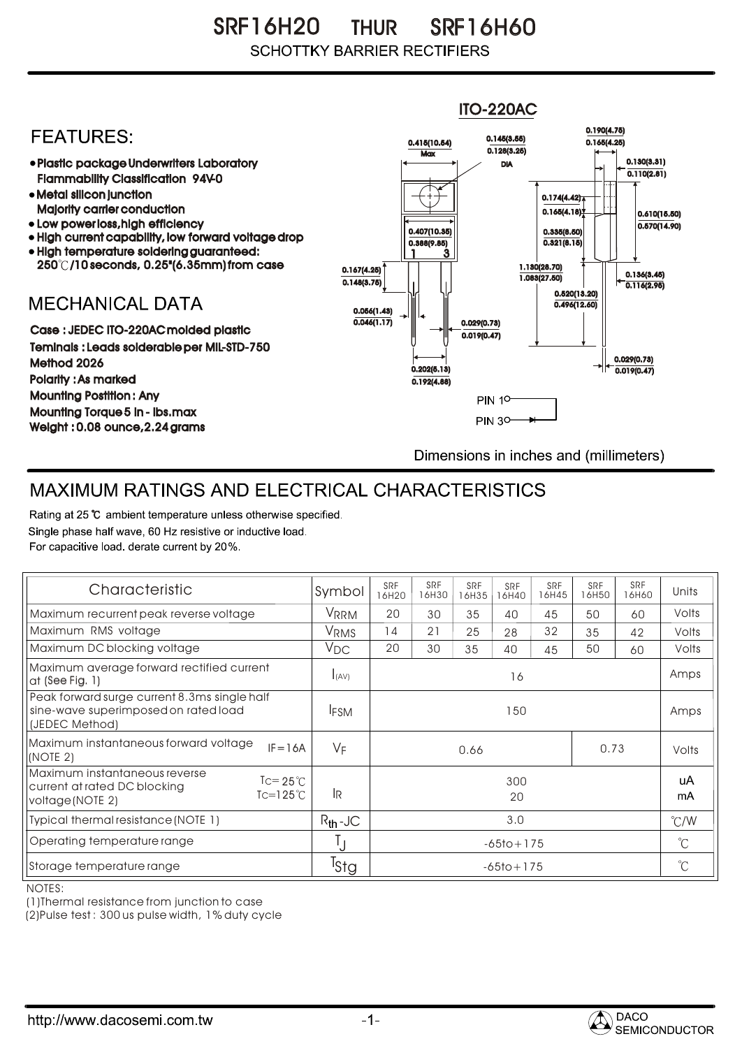SR F16H20 SRF16H60 THUR **SCHOTTKY BARRIER RECTIFIERS** 

## ITO-220AC0.190(4.75) **FEATURES:** 0.145(3.55) 0.415(10.54) 0.165(4.25)  $Max \overline{0.128(3.25)}$ 0.130(3.31) Plastic package Underwriters Laboratory DIA  $\overline{0.110(2.81)}$ Flammability Classification 94V-0 Metal silicon junction  $0.174(4.42)$ Majority carrier conduction  $0.165(4.18)$ 0.610(15.50) • Low power loss, high efficiency  $0.570(14.90)$ 0.407(10.35) 0.335(8.50) High current capability, low forward voltage drop  $0.321(8.15)$ 0.388(9.85) High temperature soldering guaranteed: 1 3 250 /10 seconds, 0.25"(6.35mm) from case 0.167(4.25) 1.130(28.70) 0.136(3.45)  $0.148(3.75)$ 1.083(27.50) 0.116(2.95) 0.520(13.20) **MECHANICAL DATA**  $0.496(12.60)$ 0.056(1.43)  $\overline{0.046(1.17)}$   $\overline{ }$   $\parallel$   $\parallel$   $\parallel$  0.029(0.73) Case : JEDEC ITO-220AC molded plastic 0.019(0.47) Teminals : Leads solderable per MIL-STD-750 0.029(0.73) Method 2026  $0.202(5.13)$   $\rightarrow$   $\mid$   $\leftarrow$   $\frac{}{0.019(0.47)}$ Polarity : As marked 0.192(4.88) Mounting Postition : Any **PIN 10-**Mounting Torque 5 in - lbs.max **PIN 30-**Weight : 0.08 ounce,2.24 grams Dimensions in inches and (millimeters)

## MAXIMUM RATINGS AND ELECTRICAL CHARACTERISTICS

Rating at 25 °C ambient temperature unless otherwise specified. Single phase half wave, 60 Hz resistive or inductive load. For capacitive load, derate current by 20%.

| Characteristic                                                                                                                     | Symbol           | SRF<br>16H20   | <b>SRF</b><br>16H30 | SRF<br>16H35 | <b>SRF</b><br>16H40 | <b>SRF</b><br>16H45 | <b>SRF</b><br>16H50 | <b>SRF</b><br>16H60 | Units         |
|------------------------------------------------------------------------------------------------------------------------------------|------------------|----------------|---------------------|--------------|---------------------|---------------------|---------------------|---------------------|---------------|
| Maximum recurrent peak reverse voltage                                                                                             | VRRM             | 20             | 30                  | 35           | 40                  | 45                  | 50                  | 60                  | Volts         |
| Maximum RMS voltage                                                                                                                | V <sub>RMS</sub> | 14             | 21                  | 25           | 28                  | 32                  | 35                  | 42                  | Volts         |
| Maximum DC blocking voltage                                                                                                        | $V_{DC}$         | 20             | 30                  | 35           | 40                  | 45                  | 50                  | 60                  | Volts         |
| Maximum average forward rectified current<br>at $(See Fig. 1)$                                                                     | I(AV)            | 16             |                     |              |                     |                     |                     |                     | Amps          |
| Peak forward surge current 8.3ms single half<br>sine-wave superimposed on rated load<br>(JEDEC Method)                             | <b>IFSM</b>      | 150            |                     |              |                     |                     |                     |                     | Amps          |
| Maximum instantaneous forward voltage<br>$IF = 16A$<br>(NOTE 2)                                                                    | $V_F$            | 0.73<br>0.66   |                     |              |                     |                     | Volts               |                     |               |
| Maximum instantaneous reverse<br>$\text{I} = 25^{\circ}$<br>current at rated DC blocking<br>$Tc=125^{\circ}$ C<br>voltage (NOTE 2) | IR.              | 300<br>20      |                     |              |                     |                     |                     | uA<br>mA            |               |
| Typical thermal resistance (NOTE 1)                                                                                                | $R_{th}$ -JC     | 3.0            |                     |              |                     |                     |                     |                     | $\degree$ C/W |
| Operating temperature range                                                                                                        | IJ               | $-65$ to + 175 |                     |              |                     |                     |                     | $^{\circ}$ C        |               |
| Storage temperature range                                                                                                          | <sup>T</sup> Stg | $-65$ to + 175 |                     |              |                     |                     |                     | $^{\circ}$ C        |               |

NOTES:

(1)Thermal resistance from junction to case

(2)Pulse test : 300 us pulse width, 1% duty cycle